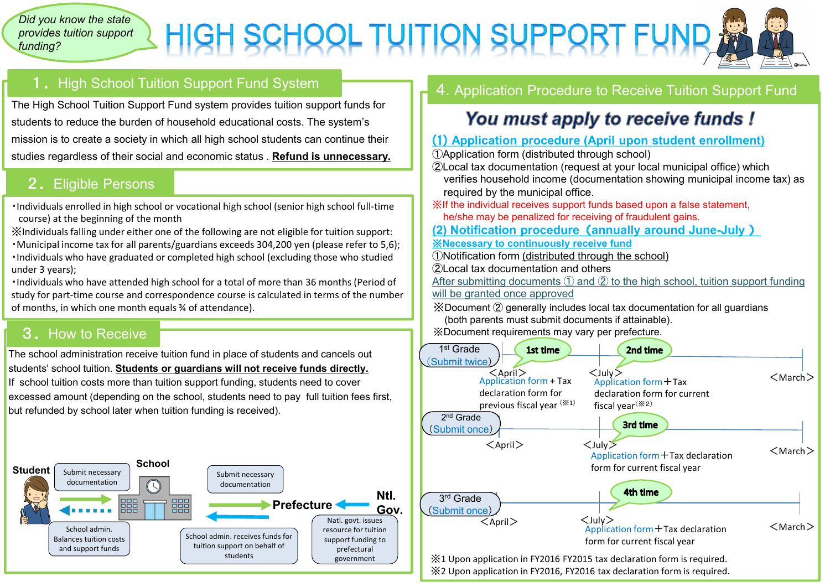#### *Did you know the state provides tuition support funding?*

# HIGH SCHOOL TUITION SUPPORT FUND



# 1. High School Tuition Support Fund System

The High School Tuition Support Fund system provides tuition support funds for students to reduce the burden of household educational costs. The system's mission is to create a society in which all high school students can continue their studies regardless of their social and economic status . **Refund is unnecessary.**

## 2. Eligible Persons

・Individuals enrolled in high school or vocational high school (senior high school full-time course) at the beginning of the month

※Individuals falling under either one of the following are not eligible for tuition support: ・Municipal income tax for all parents/guardians exceeds 304,200 yen (please refer to 5,6); ・Individuals who have graduated or completed high school (excluding those who studied under 3 years);

・Individuals who have attended high school for a total of more than 36 months (Period of study for part-time course and correspondence course is calculated in terms of the number of months, in which one month equals ¾ of attendance).

## 3.How to Receive

The school administration receive tuition fund in place of students and cancels out students' school tuition. **Students or guardians will not receive funds directly.** If school tuition costs more than tuition support funding, students need to cover excessed amount (depending on the school, students need to pay full tuition fees first, but refunded by school later when tuition funding is received).



### 4. Application Procedure to Receive Tuition Support Fund

# You must apply to receive funds !

#### (1) **Application procedure (April upon student enrollment)**

①Application form (distributed through school)

- ②Local tax documentation (request at your local municipal office) which verifies household income (documentation showing municipal income tax) as required by the municipal office.
- ※If the individual receives support funds based upon a false statement, he/she may be penalized for receiving of fraudulent gains.
- **(2) Notification procedure**(**annually around June-July** )
- ※**Necessary to continuously receive fund**
- ①Notification form (distributed through the school)
- ②Local tax documentation and others
- After submitting documents  $(1)$  and  $(2)$  to the high school, tuition support funding will be granted once approved
- ※Document ② generally includes local tax documentation for all guardians (both parents must submit documents if attainable).
- ※Document requirements may vary per prefecture.